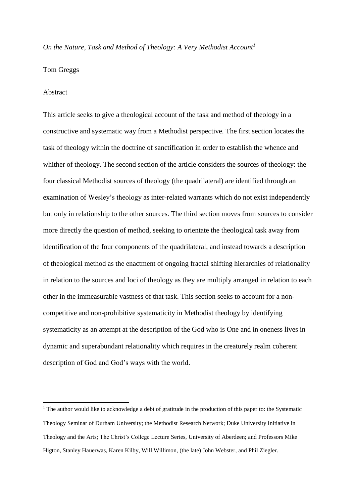#### *On the Nature, Task and Method of Theology: A Very Methodist Account<sup>1</sup>*

### Tom Greggs

#### Abstract

**.** 

This article seeks to give a theological account of the task and method of theology in a constructive and systematic way from a Methodist perspective. The first section locates the task of theology within the doctrine of sanctification in order to establish the whence and whither of theology. The second section of the article considers the sources of theology: the four classical Methodist sources of theology (the quadrilateral) are identified through an examination of Wesley's theology as inter-related warrants which do not exist independently but only in relationship to the other sources. The third section moves from sources to consider more directly the question of method, seeking to orientate the theological task away from identification of the four components of the quadrilateral, and instead towards a description of theological method as the enactment of ongoing fractal shifting hierarchies of relationality in relation to the sources and loci of theology as they are multiply arranged in relation to each other in the immeasurable vastness of that task. This section seeks to account for a noncompetitive and non-prohibitive systematicity in Methodist theology by identifying systematicity as an attempt at the description of the God who is One and in oneness lives in dynamic and superabundant relationality which requires in the creaturely realm coherent description of God and God's ways with the world.

<sup>&</sup>lt;sup>1</sup> The author would like to acknowledge a debt of gratitude in the production of this paper to: the Systematic Theology Seminar of Durham University; the Methodist Research Network; Duke University Initiative in Theology and the Arts; The Christ's College Lecture Series, University of Aberdeen; and Professors Mike Higton, Stanley Hauerwas, Karen Kilby, Will Willimon, (the late) John Webster, and Phil Ziegler.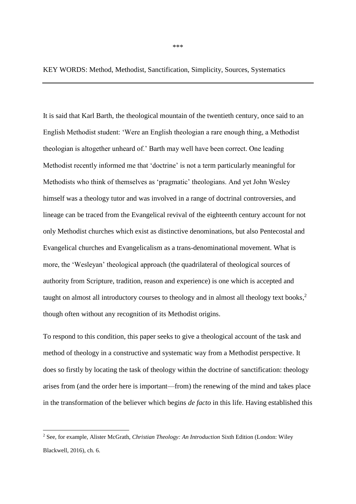\*\*\*

## KEY WORDS: Method, Methodist, Sanctification, Simplicity, Sources, Systematics

It is said that Karl Barth, the theological mountain of the twentieth century, once said to an English Methodist student: 'Were an English theologian a rare enough thing, a Methodist theologian is altogether unheard of.' Barth may well have been correct. One leading Methodist recently informed me that 'doctrine' is not a term particularly meaningful for Methodists who think of themselves as 'pragmatic' theologians. And yet John Wesley himself was a theology tutor and was involved in a range of doctrinal controversies, and lineage can be traced from the Evangelical revival of the eighteenth century account for not only Methodist churches which exist as distinctive denominations, but also Pentecostal and Evangelical churches and Evangelicalism as a trans-denominational movement. What is more, the 'Wesleyan' theological approach (the quadrilateral of theological sources of authority from Scripture, tradition, reason and experience) is one which is accepted and taught on almost all introductory courses to theology and in almost all theology text books, 2 though often without any recognition of its Methodist origins.

To respond to this condition, this paper seeks to give a theological account of the task and method of theology in a constructive and systematic way from a Methodist perspective. It does so firstly by locating the task of theology within the doctrine of sanctification: theology arises from (and the order here is important—from) the renewing of the mind and takes place in the transformation of the believer which begins *de facto* in this life. Having established this

<sup>2</sup> See, for example, Alister McGrath, *Christian Theology: An Introduction* Sixth Edition (London: Wiley Blackwell, 2016), ch. 6.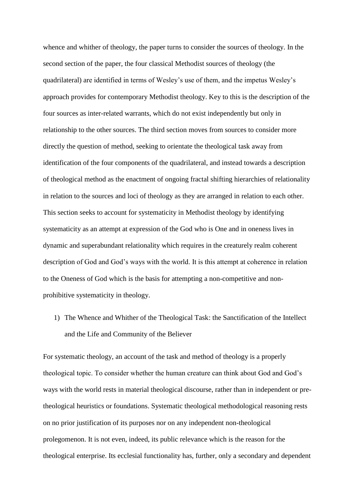whence and whither of theology, the paper turns to consider the sources of theology. In the second section of the paper, the four classical Methodist sources of theology (the quadrilateral) are identified in terms of Wesley's use of them, and the impetus Wesley's approach provides for contemporary Methodist theology. Key to this is the description of the four sources as inter-related warrants, which do not exist independently but only in relationship to the other sources. The third section moves from sources to consider more directly the question of method, seeking to orientate the theological task away from identification of the four components of the quadrilateral, and instead towards a description of theological method as the enactment of ongoing fractal shifting hierarchies of relationality in relation to the sources and loci of theology as they are arranged in relation to each other. This section seeks to account for systematicity in Methodist theology by identifying systematicity as an attempt at expression of the God who is One and in oneness lives in dynamic and superabundant relationality which requires in the creaturely realm coherent description of God and God's ways with the world. It is this attempt at coherence in relation to the Oneness of God which is the basis for attempting a non-competitive and nonprohibitive systematicity in theology.

1) The Whence and Whither of the Theological Task: the Sanctification of the Intellect and the Life and Community of the Believer

For systematic theology, an account of the task and method of theology is a properly theological topic. To consider whether the human creature can think about God and God's ways with the world rests in material theological discourse, rather than in independent or pretheological heuristics or foundations. Systematic theological methodological reasoning rests on no prior justification of its purposes nor on any independent non-theological prolegomenon. It is not even, indeed, its public relevance which is the reason for the theological enterprise. Its ecclesial functionality has, further, only a secondary and dependent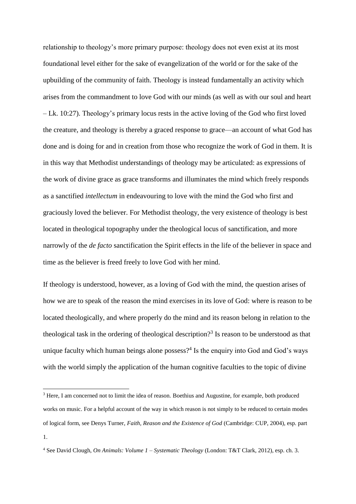relationship to theology's more primary purpose: theology does not even exist at its most foundational level either for the sake of evangelization of the world or for the sake of the upbuilding of the community of faith. Theology is instead fundamentally an activity which arises from the commandment to love God with our minds (as well as with our soul and heart – Lk. 10:27). Theology's primary locus rests in the active loving of the God who first loved the creature, and theology is thereby a graced response to grace—an account of what God has done and is doing for and in creation from those who recognize the work of God in them. It is in this way that Methodist understandings of theology may be articulated: as expressions of the work of divine grace as grace transforms and illuminates the mind which freely responds as a sanctified *intellectum* in endeavouring to love with the mind the God who first and graciously loved the believer. For Methodist theology, the very existence of theology is best located in theological topography under the theological locus of sanctification, and more narrowly of the *de facto* sanctification the Spirit effects in the life of the believer in space and time as the believer is freed freely to love God with her mind.

If theology is understood, however, as a loving of God with the mind, the question arises of how we are to speak of the reason the mind exercises in its love of God: where is reason to be located theologically, and where properly do the mind and its reason belong in relation to the theological task in the ordering of theological description? 3 Is reason to be understood as that unique faculty which human beings alone possess? $4$  Is the enquiry into God and God's ways with the world simply the application of the human cognitive faculties to the topic of divine

<sup>&</sup>lt;sup>3</sup> Here, I am concerned not to limit the idea of reason. Boethius and Augustine, for example, both produced works on music. For a helpful account of the way in which reason is not simply to be reduced to certain modes of logical form, see Denys Turner, *Faith, Reason and the Existence of God* (Cambridge: CUP, 2004), esp. part 1.

<sup>4</sup> See David Clough, *On Animals: Volume 1 – Systematic Theology* (London: T&T Clark, 2012), esp. ch. 3.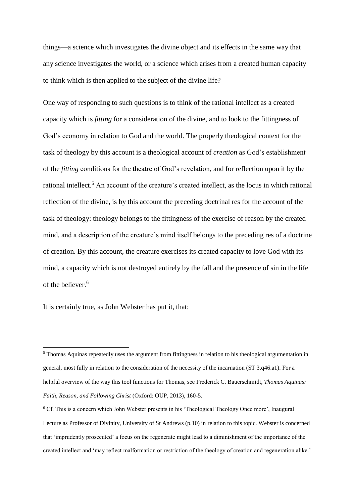things—a science which investigates the divine object and its effects in the same way that any science investigates the world, or a science which arises from a created human capacity to think which is then applied to the subject of the divine life?

One way of responding to such questions is to think of the rational intellect as a created capacity which is *fitting* for a consideration of the divine, and to look to the fittingness of God's economy in relation to God and the world. The properly theological context for the task of theology by this account is a theological account of *creation* as God's establishment of the *fitting* conditions for the theatre of God's revelation, and for reflection upon it by the rational intellect.<sup>5</sup> An account of the creature's created intellect, as the locus in which rational reflection of the divine, is by this account the preceding doctrinal res for the account of the task of theology: theology belongs to the fittingness of the exercise of reason by the created mind, and a description of the creature's mind itself belongs to the preceding res of a doctrine of creation. By this account, the creature exercises its created capacity to love God with its mind, a capacity which is not destroyed entirely by the fall and the presence of sin in the life of the believer.<sup>6</sup>

It is certainly true, as John Webster has put it, that:

<sup>5</sup> Thomas Aquinas repeatedly uses the argument from fittingness in relation to his theological argumentation in general, most fully in relation to the consideration of the necessity of the incarnation (ST 3.q46.a1). For a helpful overview of the way this tool functions for Thomas, see Frederick C. Bauerschmidt, *Thomas Aquinas: Faith, Reason, and Following Christ* (Oxford: OUP, 2013), 160-5.

<sup>&</sup>lt;sup>6</sup> Cf. This is a concern which John Webster presents in his 'Theological Theology Once more', Inaugural Lecture as Professor of Divinity, University of St Andrews (p.10) in relation to this topic. Webster is concerned that 'imprudently prosecuted' a focus on the regenerate might lead to a diminishment of the importance of the created intellect and 'may reflect malformation or restriction of the theology of creation and regeneration alike.'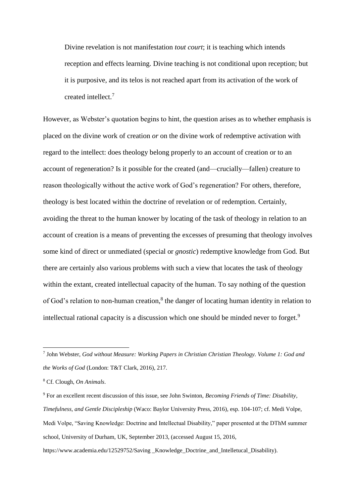Divine revelation is not manifestation *tout court*; it is teaching which intends reception and effects learning. Divine teaching is not conditional upon reception; but it is purposive, and its telos is not reached apart from its activation of the work of created intellect.<sup>7</sup>

However, as Webster's quotation begins to hint, the question arises as to whether emphasis is placed on the divine work of creation *or* on the divine work of redemptive activation with regard to the intellect: does theology belong properly to an account of creation or to an account of regeneration? Is it possible for the created (and—crucially—fallen) creature to reason theologically without the active work of God's regeneration? For others, therefore, theology is best located within the doctrine of revelation or of redemption. Certainly, avoiding the threat to the human knower by locating of the task of theology in relation to an account of creation is a means of preventing the excesses of presuming that theology involves some kind of direct or unmediated (special or *gnostic*) redemptive knowledge from God. But there are certainly also various problems with such a view that locates the task of theology within the extant, created intellectual capacity of the human. To say nothing of the question of God's relation to non-human creation,<sup>8</sup> the danger of locating human identity in relation to intellectual rational capacity is a discussion which one should be minded never to forget.<sup>9</sup>

<sup>7</sup> John Webster, *God without Measure: Working Papers in Christian Christian Theology. Volume 1: God and the Works of God* (London: T&T Clark, 2016), 217.

<sup>8</sup> Cf. Clough, *On Animals*.

<sup>9</sup> For an excellent recent discussion of this issue, see John Swinton, *Becoming Friends of Time: Disability, Timefulness, and Gentle Discipleship* (Waco: Baylor University Press, 2016), esp. 104-107; cf. Medi Volpe, Medi Volpe, "Saving Knowledge: Doctrine and Intellectual Disability," paper presented at the DThM summer school, University of Durham, UK, September 2013, (accessed August 15, 2016, https://www.academia.edu/12529752/Saving Knowledge Doctrine and Intelletucal Disability).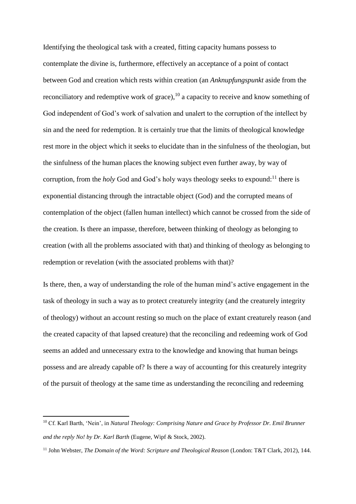Identifying the theological task with a created, fitting capacity humans possess to contemplate the divine is, furthermore, effectively an acceptance of a point of contact between God and creation which rests within creation (an *Anknupfungspunkt* aside from the reconciliatory and redemptive work of grace), $^{10}$  a capacity to receive and know something of God independent of God's work of salvation and unalert to the corruption of the intellect by sin and the need for redemption. It is certainly true that the limits of theological knowledge rest more in the object which it seeks to elucidate than in the sinfulness of the theologian, but the sinfulness of the human places the knowing subject even further away, by way of corruption, from the *holy* God and God's holy ways theology seeks to expound: <sup>11</sup> there is exponential distancing through the intractable object (God) and the corrupted means of contemplation of the object (fallen human intellect) which cannot be crossed from the side of the creation. Is there an impasse, therefore, between thinking of theology as belonging to creation (with all the problems associated with that) and thinking of theology as belonging to redemption or revelation (with the associated problems with that)?

Is there, then, a way of understanding the role of the human mind's active engagement in the task of theology in such a way as to protect creaturely integrity (and the creaturely integrity of theology) without an account resting so much on the place of extant creaturely reason (and the created capacity of that lapsed creature) that the reconciling and redeeming work of God seems an added and unnecessary extra to the knowledge and knowing that human beings possess and are already capable of? Is there a way of accounting for this creaturely integrity of the pursuit of theology at the same time as understanding the reconciling and redeeming

<sup>10</sup> Cf. Karl Barth, 'Nein', in *Natural Theology: Comprising Nature and Grace by Professor Dr. Emil Brunner and the reply No! by Dr. Karl Barth* (Eugene, Wipf & Stock, 2002).

<sup>11</sup> John Webster, *The Domain of the Word: Scripture and Theological Reason* (London: T&T Clark, 2012), 144.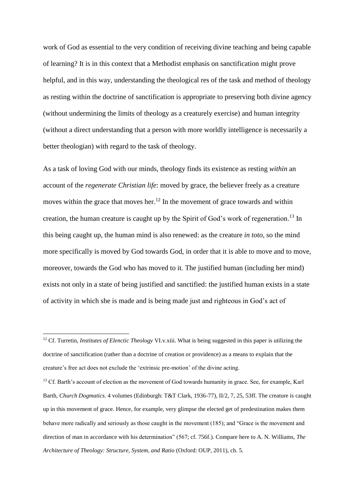work of God as essential to the very condition of receiving divine teaching and being capable of learning? It is in this context that a Methodist emphasis on sanctification might prove helpful, and in this way, understanding the theological res of the task and method of theology as resting within the doctrine of sanctification is appropriate to preserving both divine agency (without undermining the limits of theology as a creaturely exercise) and human integrity (without a direct understanding that a person with more worldly intelligence is necessarily a better theologian) with regard to the task of theology.

As a task of loving God with our minds, theology finds its existence as resting *within* an account of the *regenerate Christian life*: moved by grace, the believer freely as a creature moves within the grace that moves her.<sup>12</sup> In the movement of grace towards and within creation, the human creature is caught up by the Spirit of God's work of regeneration.<sup>13</sup> In this being caught up, the human mind is also renewed: as the creature *in toto*, so the mind more specifically is moved by God towards God, in order that it is able to move and to move, moreover, towards the God who has moved to it. The justified human (including her mind) exists not only in a state of being justified and sanctified: the justified human exists in a state of activity in which she is made and is being made just and righteous in God's act of

<sup>&</sup>lt;sup>12</sup> Cf. Turretin, *Institutes of Elenctic Theology VI.v.xiii.* What is being suggested in this paper is utilizing the doctrine of sanctification (rather than a doctrine of creation or providence) as a means to explain that the creature's free act does not exclude the 'extrinsic pre-motion' of the divine acting.

<sup>&</sup>lt;sup>13</sup> Cf. Barth's account of election as the movement of God towards humanity in grace. See, for example, Karl Barth, *Church Dogmatics*. 4 volumes (Edinburgh: T&T Clark, 1936-77), II/2, 7, 25, 53ff. The creature is caught up in this movement of grace. Hence, for example, very glimpse the elected get of predestination makes them behave more radically and seriously as those caught in the movement (185); and "Grace is the movement and direction of man in accordance with his determination" (567; cf. 756f.). Compare here to A. N. Williams, *The Architecture of Theology: Structure, System, and Ratio* (Oxford: OUP, 2011), ch. 5.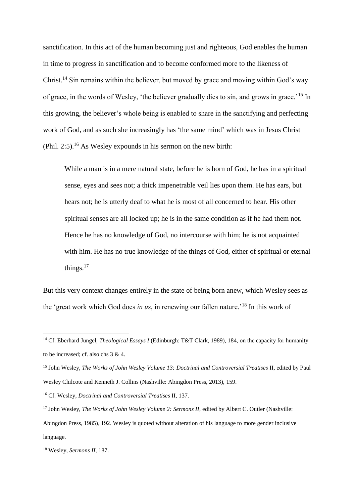sanctification. In this act of the human becoming just and righteous, God enables the human in time to progress in sanctification and to become conformed more to the likeness of Christ.<sup>14</sup> Sin remains within the believer, but moved by grace and moving within God's way of grace, in the words of Wesley, 'the believer gradually dies to sin, and grows in grace.'<sup>15</sup> In this growing, the believer's whole being is enabled to share in the sanctifying and perfecting work of God, and as such she increasingly has 'the same mind' which was in Jesus Christ  $(Phi. 2:5).$ <sup>16</sup> As Wesley expounds in his sermon on the new birth:

While a man is in a mere natural state, before he is born of God, he has in a spiritual sense, eyes and sees not; a thick impenetrable veil lies upon them. He has ears, but hears not; he is utterly deaf to what he is most of all concerned to hear. His other spiritual senses are all locked up; he is in the same condition as if he had them not. Hence he has no knowledge of God, no intercourse with him; he is not acquainted with him. He has no true knowledge of the things of God, either of spiritual or eternal things. $17$ 

But this very context changes entirely in the state of being born anew, which Wesley sees as the 'great work which God does *in us*, in renewing our fallen nature.'<sup>18</sup> In this work of

<sup>14</sup> Cf. Eberhard Jüngel, *Theological Essays I* (Edinburgh: T&T Clark, 1989), 184, on the capacity for humanity to be increased; cf. also chs 3 & 4.

<sup>15</sup> John Wesley, *The Works of John Wesley Volume 13: Doctrinal and Controversial Treatises* II, edited by Paul Wesley Chilcote and Kenneth J. Collins (Nashville: Abingdon Press, 2013), 159.

<sup>16</sup> Cf. Wesley, *Doctrinal and Controversial Treatises* II, 137.

<sup>&</sup>lt;sup>17</sup> John Wesley, *The Works of John Wesley Volume 2: Sermons II*, edited by Albert C. Outler (Nashville: Abingdon Press, 1985), 192. Wesley is quoted without alteration of his language to more gender inclusive language.

<sup>18</sup> Wesley, *Sermons II*, 187.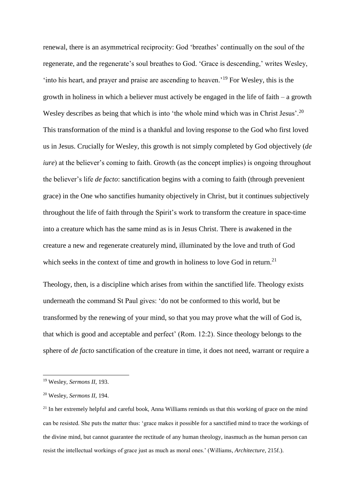renewal, there is an asymmetrical reciprocity: God 'breathes' continually on the soul of the regenerate, and the regenerate's soul breathes to God. 'Grace is descending,' writes Wesley, 'into his heart, and prayer and praise are ascending to heaven.'<sup>19</sup> For Wesley, this is the growth in holiness in which a believer must actively be engaged in the life of faith – a growth Wesley describes as being that which is into 'the whole mind which was in Christ Jesus'.<sup>20</sup> This transformation of the mind is a thankful and loving response to the God who first loved us in Jesus. Crucially for Wesley, this growth is not simply completed by God objectively (*de iure*) at the believer's coming to faith. Growth (as the concept implies) is ongoing throughout the believer's life *de facto*: sanctification begins with a coming to faith (through prevenient grace) in the One who sanctifies humanity objectively in Christ, but it continues subjectively throughout the life of faith through the Spirit's work to transform the creature in space-time into a creature which has the same mind as is in Jesus Christ. There is awakened in the creature a new and regenerate creaturely mind, illuminated by the love and truth of God which seeks in the context of time and growth in holiness to love God in return.<sup>21</sup>

Theology, then, is a discipline which arises from within the sanctified life. Theology exists underneath the command St Paul gives: 'do not be conformed to this world, but be transformed by the renewing of your mind, so that you may prove what the will of God is, that which is good and acceptable and perfect' (Rom. 12:2). Since theology belongs to the sphere of *de facto* sanctification of the creature in time, it does not need, warrant or require a

<sup>19</sup> Wesley, *Sermons II*, 193.

<sup>20</sup> Wesley, *Sermons II*, 194.

<sup>&</sup>lt;sup>21</sup> In her extremely helpful and careful book, Anna Williams reminds us that this working of grace on the mind can be resisted. She puts the matter thus: 'grace makes it possible for a sanctified mind to trace the workings of the divine mind, but cannot guarantee the rectitude of any human theology, inasmuch as the human person can resist the intellectual workings of grace just as much as moral ones.' (Williams, *Architecture*, 215f.).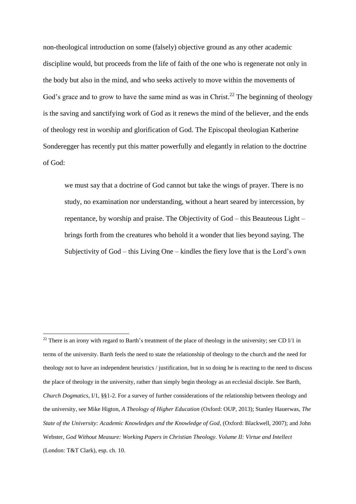non-theological introduction on some (falsely) objective ground as any other academic discipline would, but proceeds from the life of faith of the one who is regenerate not only in the body but also in the mind, and who seeks actively to move within the movements of God's grace and to grow to have the same mind as was in Christ.<sup>22</sup> The beginning of theology is the saving and sanctifying work of God as it renews the mind of the believer, and the ends of theology rest in worship and glorification of God. The Episcopal theologian Katherine Sonderegger has recently put this matter powerfully and elegantly in relation to the doctrine of God:

we must say that a doctrine of God cannot but take the wings of prayer. There is no study, no examination nor understanding, without a heart seared by intercession, by repentance, by worship and praise. The Objectivity of God – this Beauteous Light – brings forth from the creatures who behold it a wonder that lies beyond saying. The Subjectivity of God – this Living One – kindles the fiery love that is the Lord's own

 $22$  There is an irony with regard to Barth's treatment of the place of theology in the university; see CD I/1 in terms of the university. Barth feels the need to state the relationship of theology to the church and the need for theology not to have an independent heuristics / justification, but in so doing he is reacting to the need to discuss the place of theology in the university, rather than simply begin theology as an ecclesial disciple. See Barth, *Church Dogmatics*, I/1, §§1-2. For a survey of further considerations of the relationship between theology and the university, see Mike Higton, *A Theology of Higher Education* (Oxford: OUP, 2013); Stanley Hauerwas, *The State of the University: Academic Knowledges and the Knowledge of God*, (Oxford: Blackwell, 2007); and John Webster, *God Without Measure: Working Papers in Christian Theology. Volume II: Virtue and Intellect*  (London: T&T Clark), esp. ch. 10.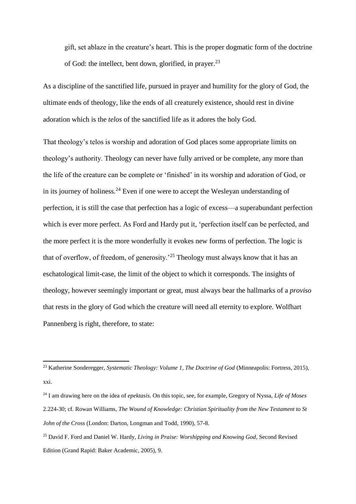gift, set ablaze in the creature's heart. This is the proper dogmatic form of the doctrine of God: the intellect, bent down, glorified, in prayer. $^{23}$ 

As a discipline of the sanctified life, pursued in prayer and humility for the glory of God, the ultimate ends of theology, like the ends of all creaturely existence, should rest in divine adoration which is the *telos* of the sanctified life as it adores the holy God.

That theology's telos is worship and adoration of God places some appropriate limits on theology's authority. Theology can never have fully arrived or be complete, any more than the life of the creature can be complete or 'finished' in its worship and adoration of God, or in its journey of holiness.<sup>24</sup> Even if one were to accept the Wesleyan understanding of perfection, it is still the case that perfection has a logic of excess—a superabundant perfection which is ever more perfect. As Ford and Hardy put it, 'perfection itself can be perfected, and the more perfect it is the more wonderfully it evokes new forms of perfection. The logic is that of overflow, of freedom, of generosity.'<sup>25</sup> Theology must always know that it has an eschatological limit-case, the limit of the object to which it corresponds. The insights of theology, however seemingly important or great, must always bear the hallmarks of a *proviso* that rests in the glory of God which the creature will need all eternity to explore. Wolfhart Pannenberg is right, therefore, to state:

<sup>23</sup> Katherine Sonderegger, *Systematic Theology: Volume 1, The Doctrine of God* (Minneapolis: Fortress, 2015), xxi.

<sup>24</sup> I am drawing here on the idea of *epektasis*. On this topic, see, for example, Gregory of Nyssa, *Life of Moses* 2.224-30; cf. Rowan Williams, *The Wound of Knowledge: Christian Spirituality from the New Testament to St John of the Cross* (London: Darton, Longman and Todd, 1990), 57-8.

<sup>25</sup> David F. Ford and Daniel W. Hardy, *Living in Praise: Worshipping and Knowing God*, Second Revised Edition (Grand Rapid: Baker Academic, 2005), 9.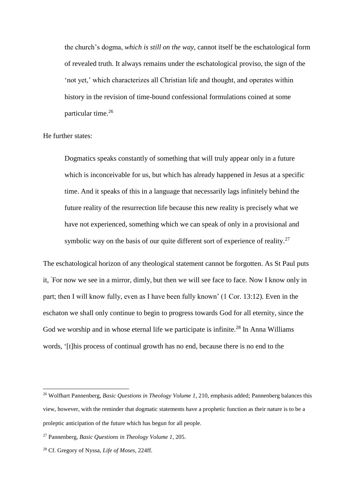the church's dogma, *which is still on the way*, cannot itself be the eschatological form of revealed truth. It always remains under the eschatological proviso, the sign of the 'not yet,' which characterizes all Christian life and thought, and operates within history in the revision of time-bound confessional formulations coined at some particular time.<sup>26</sup>

He further states:

Dogmatics speaks constantly of something that will truly appear only in a future which is inconceivable for us, but which has already happened in Jesus at a specific time. And it speaks of this in a language that necessarily lags infinitely behind the future reality of the resurrection life because this new reality is precisely what we have not experienced, something which we can speak of only in a provisional and symbolic way on the basis of our quite different sort of experience of reality.<sup>27</sup>

The eschatological horizon of any theological statement cannot be forgotten. As St Paul puts it, 'For now we see in a mirror, dimly, but then we will see face to face. Now I know only in part; then I will know fully, even as I have been fully known' (1 Cor. 13:12). Even in the eschaton we shall only continue to begin to progress towards God for all eternity, since the God we worship and in whose eternal life we participate is infinite.<sup>28</sup> In Anna Williams words, '[t]his process of continual growth has no end, because there is no end to the

<sup>26</sup> Wolfhart Pannenberg, *Basic Questions in Theology Volume 1*, 210, emphasis added; Pannenberg balances this view, however, with the reminder that dogmatic statements have a prophetic function as their nature is to be a proleptic anticipation of the future which has begun for all people.

<sup>27</sup> Pannenberg, *Basic Questions in Theology Volume 1*, 205.

<sup>28</sup> Cf. Gregory of Nyssa, *Life of Moses*, 224ff.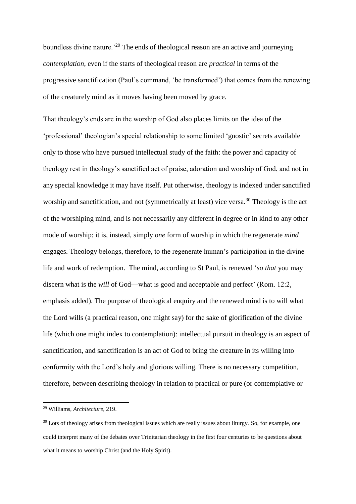boundless divine nature.'<sup>29</sup> The ends of theological reason are an active and journeying *contemplation*, even if the starts of theological reason are *practical* in terms of the progressive sanctification (Paul's command, 'be transformed') that comes from the renewing of the creaturely mind as it moves having been moved by grace.

That theology's ends are in the worship of God also places limits on the idea of the 'professional' theologian's special relationship to some limited 'gnostic' secrets available only to those who have pursued intellectual study of the faith: the power and capacity of theology rest in theology's sanctified act of praise, adoration and worship of God, and not in any special knowledge it may have itself. Put otherwise, theology is indexed under sanctified worship and sanctification, and not (symmetrically at least) vice versa.<sup>30</sup> Theology is the act of the worshiping mind, and is not necessarily any different in degree or in kind to any other mode of worship: it is, instead, simply *one* form of worship in which the regenerate *mind* engages. Theology belongs, therefore, to the regenerate human's participation in the divine life and work of redemption. The mind, according to St Paul, is renewed '*so that* you may discern what is the *will* of God—what is good and acceptable and perfect' (Rom. 12:2, emphasis added). The purpose of theological enquiry and the renewed mind is to will what the Lord wills (a practical reason, one might say) for the sake of glorification of the divine life (which one might index to contemplation): intellectual pursuit in theology is an aspect of sanctification, and sanctification is an act of God to bring the creature in its willing into conformity with the Lord's holy and glorious willing. There is no necessary competition, therefore, between describing theology in relation to practical or pure (or contemplative or

<sup>29</sup> Williams, *Architecture*, 219.

<sup>&</sup>lt;sup>30</sup> Lots of theology arises from theological issues which are really issues about liturgy. So, for example, one could interpret many of the debates over Trinitarian theology in the first four centuries to be questions about what it means to worship Christ (and the Holy Spirit).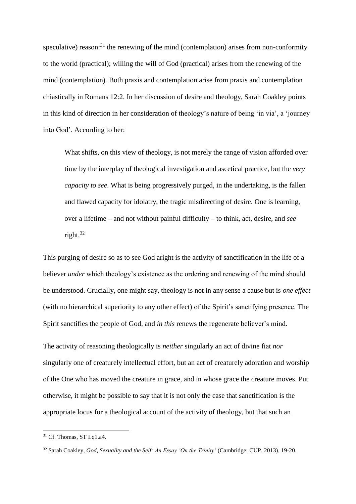speculative) reason: $31$  the renewing of the mind (contemplation) arises from non-conformity to the world (practical); willing the will of God (practical) arises from the renewing of the mind (contemplation). Both praxis and contemplation arise from praxis and contemplation chiastically in Romans 12:2. In her discussion of desire and theology, Sarah Coakley points in this kind of direction in her consideration of theology's nature of being 'in via', a 'journey into God'. According to her:

What shifts, on this view of theology, is not merely the range of vision afforded over time by the interplay of theological investigation and ascetical practice, but the *very capacity to see*. What is being progressively purged, in the undertaking, is the fallen and flawed capacity for idolatry, the tragic misdirecting of desire. One is learning, over a lifetime – and not without painful difficulty – to think, act, desire, and *see* right.<sup>32</sup>

This purging of desire so as to see God aright is the activity of sanctification in the life of a believer *under* which theology's existence as the ordering and renewing of the mind should be understood. Crucially, one might say, theology is not in any sense a cause but is *one effect* (with no hierarchical superiority to any other effect) of the Spirit's sanctifying presence. The Spirit sanctifies the people of God, and *in this* renews the regenerate believer's mind.

The activity of reasoning theologically is *neither* singularly an act of divine fiat *nor* singularly one of creaturely intellectual effort, but an act of creaturely adoration and worship of the One who has moved the creature in grace, and in whose grace the creature moves. Put otherwise, it might be possible to say that it is not only the case that sanctification is the appropriate locus for a theological account of the activity of theology, but that such an

<sup>&</sup>lt;sup>31</sup> Cf. Thomas, ST Lq1.a4.

<sup>32</sup> Sarah Coakley, *God, Sexuality and the Self: An Essay 'On the Trinity'* (Cambridge: CUP, 2013), 19-20.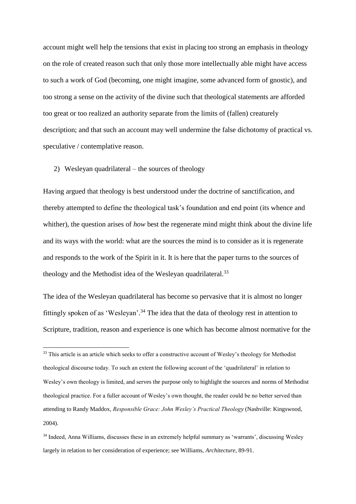account might well help the tensions that exist in placing too strong an emphasis in theology on the role of created reason such that only those more intellectually able might have access to such a work of God (becoming, one might imagine, some advanced form of gnostic), and too strong a sense on the activity of the divine such that theological statements are afforded too great or too realized an authority separate from the limits of (fallen) creaturely description; and that such an account may well undermine the false dichotomy of practical vs. speculative / contemplative reason.

## 2) Wesleyan quadrilateral – the sources of theology

**.** 

Having argued that theology is best understood under the doctrine of sanctification, and thereby attempted to define the theological task's foundation and end point (its whence and whither), the question arises of *how* best the regenerate mind might think about the divine life and its ways with the world: what are the sources the mind is to consider as it is regenerate and responds to the work of the Spirit in it. It is here that the paper turns to the sources of theology and the Methodist idea of the Wesleyan quadrilateral.<sup>33</sup>

The idea of the Wesleyan quadrilateral has become so pervasive that it is almost no longer fittingly spoken of as 'Wesleyan'.<sup>34</sup> The idea that the data of theology rest in attention to Scripture, tradition, reason and experience is one which has become almost normative for the

<sup>&</sup>lt;sup>33</sup> This article is an article which seeks to offer a constructive account of Wesley's theology for Methodist theological discourse today. To such an extent the following account of the 'quadrilateral' in relation to Wesley's own theology is limited, and serves the purpose only to highlight the sources and norms of Methodist theological practice. For a fuller account of Wesley's own thought, the reader could be no better served than attending to Randy Maddox, *Responsible Grace: John Wesley's Practical Theology* (Nashville: Kingswood, 2004).

<sup>34</sup> Indeed, Anna Williams, discusses these in an extremely helpful summary as 'warrants', discussing Wesley largely in relation to her consideration of experience; see Williams, *Architecture*, 89-91.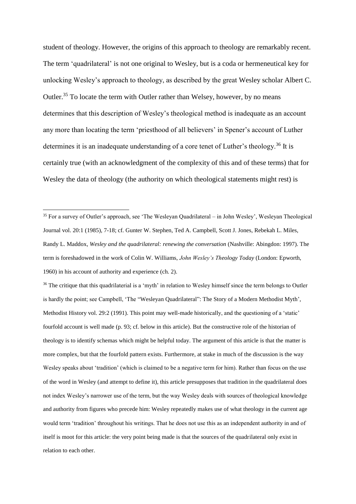student of theology. However, the origins of this approach to theology are remarkably recent. The term 'quadrilateral' is not one original to Wesley, but is a coda or hermeneutical key for unlocking Wesley's approach to theology, as described by the great Wesley scholar Albert C. Outler.<sup>35</sup> To locate the term with Outler rather than Welsey, however, by no means determines that this description of Wesley's theological method is inadequate as an account any more than locating the term 'priesthood of all believers' in Spener's account of Luther determines it is an inadequate understanding of a core tenet of Luther's theology.<sup>36</sup> It is certainly true (with an acknowledgment of the complexity of this and of these terms) that for Wesley the data of theology (the authority on which theological statements might rest) is

**.** 

<sup>36</sup> The critique that this quadrilaterial is a 'myth' in relation to Wesley himself since the term belongs to Outler is hardly the point; see Campbell, 'The "Wesleyan Quadrilateral": The Story of a Modern Methodist Myth', Methodist History vol. 29:2 (1991). This point may well-made historically, and the questioning of a 'static' fourfold account is well made (p. 93; cf. below in this article). But the constructive role of the historian of theology is to identify schemas which might be helpful today. The argument of this article is that the matter is more complex, but that the fourfold pattern exists. Furthermore, at stake in much of the discussion is the way Wesley speaks about 'tradition' (which is claimed to be a negative term for him). Rather than focus on the use of the word in Wesley (and attempt to define it), this article presupposes that tradition in the quadrilateral does not index Wesley's narrower use of the term, but the way Wesley deals with sources of theological knowledge and authority from figures who precede him: Wesley repeatedly makes use of what theology in the current age would term 'tradition' throughout his writings. That he does not use this as an independent authority in and of itself is moot for this article: the very point being made is that the sources of the quadrilateral only exist in relation to each other.

<sup>&</sup>lt;sup>35</sup> For a survey of Outler's approach, see 'The Wesleyan Quadrilateral – in John Wesley', Wesleyan Theological Journal vol. 20:1 (1985), 7-18; cf. Gunter W. Stephen, Ted A. Campbell, Scott J. Jones, Rebekah L. Miles, Randy L. Maddox, *Wesley and the quadrilateral: renewing the conversation* (Nashville: Abingdon: 1997)*.* The term is foreshadowed in the work of Colin W. Williams, *John Wesley's Theology Today* (London: Epworth, 1960) in his account of authority and experience (ch. 2).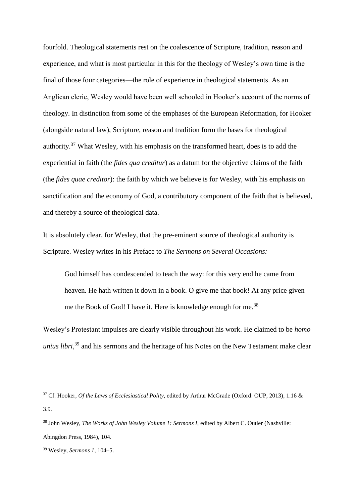fourfold. Theological statements rest on the coalescence of Scripture, tradition, reason and experience, and what is most particular in this for the theology of Wesley's own time is the final of those four categories—the role of experience in theological statements. As an Anglican cleric, Wesley would have been well schooled in Hooker's account of the norms of theology. In distinction from some of the emphases of the European Reformation, for Hooker (alongside natural law), Scripture, reason and tradition form the bases for theological authority.<sup>37</sup> What Wesley, with his emphasis on the transformed heart, does is to add the experiential in faith (the *fides qua creditur*) as a datum for the objective claims of the faith (the *fides quae creditor*): the faith by which we believe is for Wesley, with his emphasis on sanctification and the economy of God, a contributory component of the faith that is believed, and thereby a source of theological data.

It is absolutely clear, for Wesley, that the pre-eminent source of theological authority is Scripture. Wesley writes in his Preface to *The Sermons on Several Occasions:*

God himself has condescended to teach the way: for this very end he came from heaven. He hath written it down in a book. O give me that book! At any price given me the Book of God! I have it. Here is knowledge enough for me.<sup>38</sup>

Wesley's Protestant impulses are clearly visible throughout his work. He claimed to be *homo unius libri*, <sup>39</sup> and his sermons and the heritage of his Notes on the New Testament make clear

<sup>37</sup> Cf. Hooker, *Of the Laws of Ecclesiastical Polity*, edited by Arthur McGrade (Oxford: OUP, 2013), 1.16 & 3.9.

<sup>38</sup> John Wesley, *The Works of John Wesley Volume 1: Sermons I*, edited by Albert C. Outler (Nashville: Abingdon Press, 1984), 104.

<sup>39</sup> Wesley, *Sermons 1*, 104–5.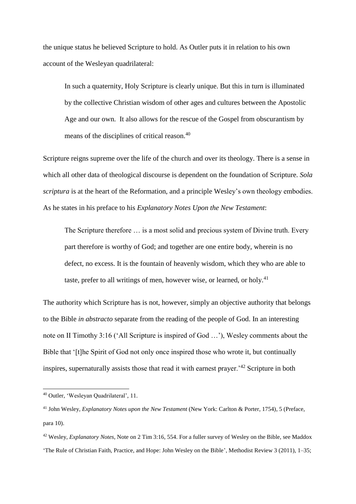the unique status he believed Scripture to hold. As Outler puts it in relation to his own account of the Wesleyan quadrilateral:

In such a quaternity, Holy Scripture is clearly unique. But this in turn is illuminated by the collective Christian wisdom of other ages and cultures between the Apostolic Age and our own. It also allows for the rescue of the Gospel from obscurantism by means of the disciplines of critical reason.<sup>40</sup>

Scripture reigns supreme over the life of the church and over its theology. There is a sense in which all other data of theological discourse is dependent on the foundation of Scripture. *Sola scriptura* is at the heart of the Reformation, and a principle Wesley's own theology embodies. As he states in his preface to his *Explanatory Notes Upon the New Testament*:

The Scripture therefore … is a most solid and precious system of Divine truth. Every part therefore is worthy of God; and together are one entire body, wherein is no defect, no excess. It is the fountain of heavenly wisdom, which they who are able to taste, prefer to all writings of men, however wise, or learned, or holy.<sup>41</sup>

The authority which Scripture has is not, however, simply an objective authority that belongs to the Bible *in abstracto* separate from the reading of the people of God. In an interesting note on II Timothy 3:16 ('All Scripture is inspired of God …'), Wesley comments about the Bible that '[t]he Spirit of God not only once inspired those who wrote it, but continually inspires, supernaturally assists those that read it with earnest prayer.'<sup>42</sup> Scripture in both

<sup>40</sup> Outler, 'Wesleyan Quadrilateral', 11.

<sup>41</sup> John Wesley, *Explanatory Notes upon the New Testament* (New York: Carlton & Porter, 1754), 5 (Preface, para 10).

<sup>42</sup> Wesley, *Explanatory Notes*, Note on 2 Tim 3:16, 554. For a fuller survey of Wesley on the Bible, see Maddox 'The Rule of Christian Faith, Practice, and Hope: John Wesley on the Bible', Methodist Review 3 (2011), 1–35;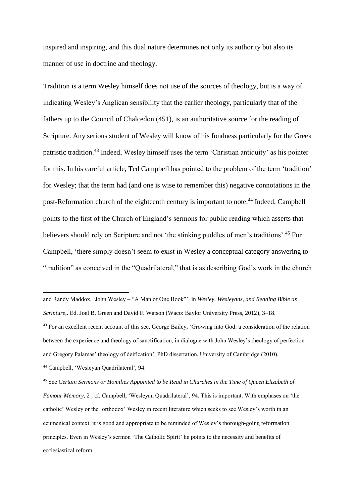inspired and inspiring, and this dual nature determines not only its authority but also its manner of use in doctrine and theology.

Tradition is a term Wesley himself does not use of the sources of theology, but is a way of indicating Wesley's Anglican sensibility that the earlier theology, particularly that of the fathers up to the Council of Chalcedon (451), is an authoritative source for the reading of Scripture. Any serious student of Wesley will know of his fondness particularly for the Greek patristic tradition.<sup>43</sup> Indeed, Wesley himself uses the term 'Christian antiquity' as his pointer for this. In his careful article, Ted Campbell has pointed to the problem of the term 'tradition' for Wesley; that the term had (and one is wise to remember this) negative connotations in the post-Reformation church of the eighteenth century is important to note.<sup>44</sup> Indeed, Campbell points to the first of the Church of England's sermons for public reading which asserts that believers should rely on Scripture and not 'the stinking puddles of men's traditions'.<sup>45</sup> For Campbell, 'there simply doesn't seem to exist in Wesley a conceptual category answering to "tradition" as conceived in the "Quadrilateral," that is as describing God's work in the church

and Randy Maddox, 'John Wesley – "A Man of One Book"', in *Wesley, Wesleyans, and Reading Bible as Scripture*,. Ed. Joel B. Green and David F. Watson (Waco: Baylor University Press, 2012), 3–18. <sup>43</sup> For an excellent recent account of this see, George Bailey, 'Growing into God: a consideration of the relation between the experience and theology of sanctification, in dialogue with John Wesley's theology of perfection and Gregory Palamas' theology of deification', PhD dissertation, University of Cambridge (2010). <sup>44</sup> Campbell, 'Wesleyan Quadrilateral', 94.

<sup>45</sup> See *Certain Sermons or Homilies Appointed to be Read in Churches in the Time of Queen Elizabeth of Famour Memory*, 2 ; cf. Campbell, 'Wesleyan Quadrilateral', 94. This is important. With emphases on 'the catholic' Wesley or the 'orthodox' Wesley in recent literature which seeks to see Wesley's worth in an ecumenical context, it is good and appropriate to be reminded of Wesley's thorough-going reformation principles. Even in Wesley's sermon 'The Catholic Spirit' he points to the necessity and benefits of ecclesiastical reform.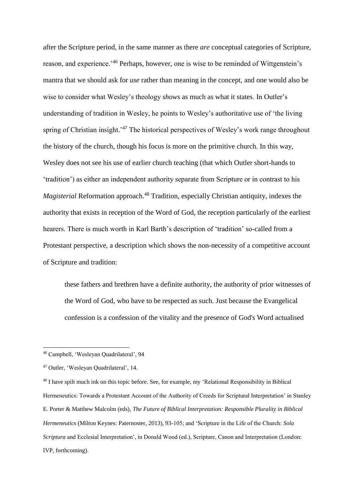after the Scripture period, in the same manner as there *are* conceptual categories of Scripture, reason, and experience.'<sup>46</sup> Perhaps, however, one is wise to be reminded of Wittgenstein's mantra that we should ask for *use* rather than meaning in the concept, and one would also be wise to consider what Wesley's theology *shows* as much as what it states. In Outler's understanding of tradition in Wesley, he points to Wesley's authoritative use of 'the living spring of Christian insight.<sup>47</sup> The historical perspectives of Wesley's work range throughout the history of the church, though his focus is more on the primitive church. In this way, Wesley does not see his use of earlier church teaching (that which Outler short-hands to 'tradition') as either an independent authority separate from Scripture or in contrast to his *Magisterial* Reformation approach.<sup>48</sup> Tradition, especially Christian antiquity, indexes the authority that exists in reception of the Word of God, the reception particularly of the earliest hearers. There is much worth in Karl Barth's description of 'tradition' so-called from a Protestant perspective, a description which shows the non-necessity of a competitive account of Scripture and tradition:

these fathers and brethren have a definite authority, the authority of prior witnesses of the Word of God, who have to be respected as such. Just because the Evangelical confession is a confession of the vitality and the presence of God's Word actualised

<sup>46</sup> Campbell, 'Wesleyan Quadrilateral', 94

<sup>47</sup> Outler, 'Wesleyan Quadrilateral', 14.

<sup>&</sup>lt;sup>48</sup> I have spilt much ink on this topic before. See, for example, my 'Relational Responsibility in Biblical Hermeneutics: Towards a Protestant Account of the Authority of Creeds for Scriptural Interpretation' in Stanley E. Porter & Matthew Malcolm (eds), *The Future of Biblical Interpretation: Responsible Plurality in Biblical Hermeneutics* (Milton Keynes: Paternoster, 2013), 93-105; and 'Scripture in the Life of the Church: *Sola Scriptura* and Ecclesial Interpretation', in Donald Wood (ed.), Scripture, Canon and Interpretation (London: IVP, forthcoming).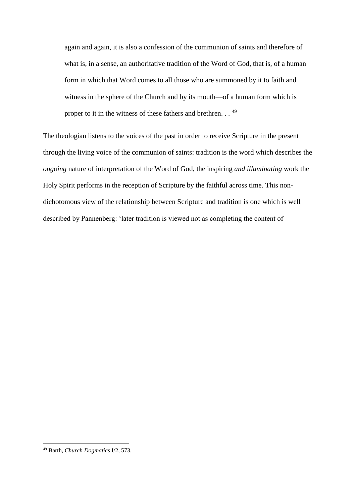again and again, it is also a confession of the communion of saints and therefore of what is, in a sense, an authoritative tradition of the Word of God, that is, of a human form in which that Word comes to all those who are summoned by it to faith and witness in the sphere of the Church and by its mouth—of a human form which is proper to it in the witness of these fathers and brethren. . . <sup>49</sup>

The theologian listens to the voices of the past in order to receive Scripture in the present through the living voice of the communion of saints: tradition is the word which describes the *ongoing* nature of interpretation of the Word of God, the inspiring *and illuminating* work the Holy Spirit performs in the reception of Scripture by the faithful across time. This nondichotomous view of the relationship between Scripture and tradition is one which is well described by Pannenberg: 'later tradition is viewed not as completing the content of

<sup>49</sup> Barth, *Church Dogmatics* I/2, 573.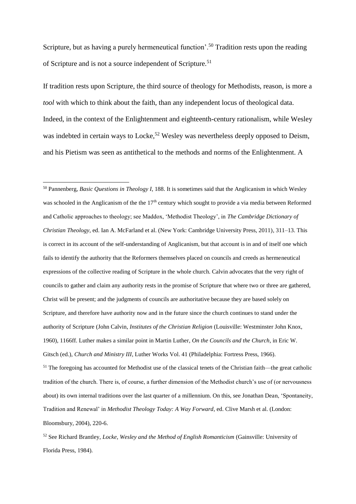Scripture, but as having a purely hermeneutical function'.<sup>50</sup> Tradition rests upon the reading of Scripture and is not a source independent of Scripture.<sup>51</sup>

If tradition rests upon Scripture, the third source of theology for Methodists, reason, is more a *tool* with which to think about the faith, than any independent locus of theological data. Indeed, in the context of the Enlightenment and eighteenth-century rationalism, while Wesley was indebted in certain ways to Locke,<sup>52</sup> Wesley was nevertheless deeply opposed to Deism, and his Pietism was seen as antithetical to the methods and norms of the Enlightenment. A

1

<sup>50</sup> Pannenberg, *Basic Questions in Theology I*, 188. It is sometimes said that the Anglicanism in which Wesley was schooled in the Anglicanism of the the 17<sup>th</sup> century which sought to provide a via media between Reformed and Catholic approaches to theology; see Maddox, 'Methodist Theology', in *The Cambridge Dictionary of Christian Theology*, ed. Ian A. McFarland et al. (New York: Cambridge University Press, 2011), 311–13. This is correct in its account of the self-understanding of Anglicanism, but that account is in and of itself one which fails to identify the authority that the Reformers themselves placed on councils and creeds as hermeneutical expressions of the collective reading of Scripture in the whole church. Calvin advocates that the very right of councils to gather and claim any authority rests in the promise of Scripture that where two or three are gathered, Christ will be present; and the judgments of councils are authoritative because they are based solely on Scripture, and therefore have authority now and in the future since the church continues to stand under the authority of Scripture (John Calvin, *Institutes of the Christian Religion* (Louisville: Westminster John Knox, 1960), 1166ff. Luther makes a similar point in Martin Luther, *On the Councils and the Church*, in Eric W. Gitsch (ed.), *Church and Ministry III*, Luther Works Vol. 41 (Philadelphia: Fortress Press, 1966). <sup>51</sup> The foregoing has accounted for Methodist use of the classical tenets of the Christian faith—the great catholic tradition of the church. There is, of course, a further dimension of the Methodist church's use of (or nervousness about) its own internal traditions over the last quarter of a millennium. On this, see Jonathan Dean, 'Spontaneity, Tradition and Renewal' in *Methodist Theology Today: A Way Forward*, ed. Clive Marsh et al. (London: Bloomsbury, 2004), 220-6.

<sup>52</sup> See Richard Brantley, *Locke, Wesley and the Method of English Romanticism* (Gainsville: University of Florida Press, 1984).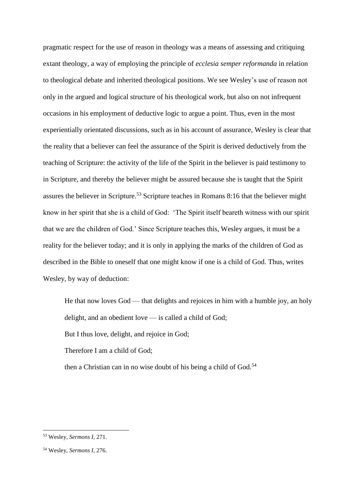pragmatic respect for the use of reason in theology was a means of assessing and critiquing extant theology, a way of employing the principle of *ecclesia semper reformanda* in relation to theological debate and inherited theological positions. We see Wesley's use of reason not only in the argued and logical structure of his theological work, but also on not infrequent occasions in his employment of deductive logic to argue a point. Thus, even in the most experientially orientated discussions, such as in his account of assurance, Wesley is clear that the reality that a believer can feel the assurance of the Spirit is derived deductively from the teaching of Scripture: the activity of the life of the Spirit in the believer is paid testimony to in Scripture, and thereby the believer might be assured because she is taught that the Spirit assures the believer in Scripture.<sup>53</sup> Scripture teaches in Romans 8:16 that the believer might know in her spirit that she is a child of God: 'The Spirit itself beareth witness with our spirit that we are the children of God.' Since Scripture teaches this, Wesley argues, it must be a reality for the believer today; and it is only in applying the marks of the children of God as described in the Bible to oneself that one might know if one is a child of God. Thus, writes Wesley, by way of deduction:

He that now loves God — that delights and rejoices in him with a humble joy, an holy delight, and an obedient love — is called a child of God;

But I thus love, delight, and rejoice in God;

Therefore I am a child of God;

then a Christian can in no wise doubt of his being a child of God. $54$ 

<sup>53</sup> Wesley, *Sermons I*, 271.

<sup>54</sup> Wesley, *Sermons I*, 276.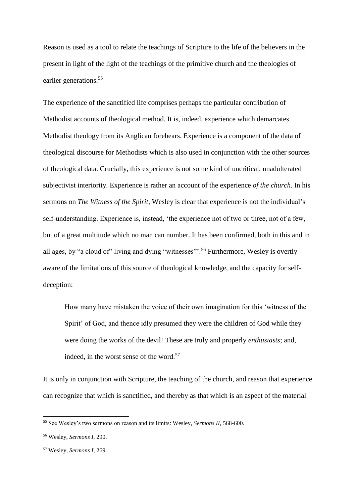Reason is used as a tool to relate the teachings of Scripture to the life of the believers in the present in light of the light of the teachings of the primitive church and the theologies of earlier generations. 55

The experience of the sanctified life comprises perhaps the particular contribution of Methodist accounts of theological method. It is, indeed, experience which demarcates Methodist theology from its Anglican forebears. Experience is a component of the data of theological discourse for Methodists which is also used in conjunction with the other sources of theological data. Crucially, this experience is not some kind of uncritical, unadulterated subjectivist interiority. Experience is rather an account of the experience *of the church*. In his sermons on *The Witness of the Spirit*, Wesley is clear that experience is not the individual's self-understanding. Experience is, instead, 'the experience not of two or three, not of a few, but of a great multitude which no man can number. It has been confirmed, both in this and in all ages, by "a cloud of" living and dying "witnesses"".<sup>56</sup> Furthermore, Wesley is overtly aware of the limitations of this source of theological knowledge, and the capacity for selfdeception:

How many have mistaken the voice of their own imagination for this 'witness of the Spirit' of God, and thence idly presumed they were the children of God while they were doing the works of the devil! These are truly and properly *enthusiasts*; and, indeed, in the worst sense of the word.<sup>57</sup>

It is only in conjunction with Scripture, the teaching of the church, and reason that experience can recognize that which is sanctified, and thereby as that which is an aspect of the material

<sup>55</sup> See Wesley's two sermons on reason and its limits: Wesley, *Sermons II*, 568-600.

<sup>56</sup> Wesley, *Sermons I*, 290.

<sup>57</sup> Wesley, *Sermons I*, 269.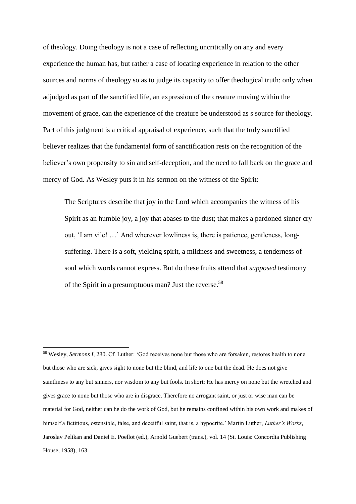of theology. Doing theology is not a case of reflecting uncritically on any and every experience the human has, but rather a case of locating experience in relation to the other sources and norms of theology so as to judge its capacity to offer theological truth: only when adjudged as part of the sanctified life, an expression of the creature moving within the movement of grace, can the experience of the creature be understood as s source for theology. Part of this judgment is a critical appraisal of experience, such that the truly sanctified believer realizes that the fundamental form of sanctification rests on the recognition of the believer's own propensity to sin and self-deception, and the need to fall back on the grace and mercy of God. As Wesley puts it in his sermon on the witness of the Spirit:

The Scriptures describe that joy in the Lord which accompanies the witness of his Spirit as an humble joy, a joy that abases to the dust; that makes a pardoned sinner cry out, 'I am vile! …' And wherever lowliness is, there is patience, gentleness, longsuffering. There is a soft, yielding spirit, a mildness and sweetness, a tenderness of soul which words cannot express. But do these fruits attend that *supposed* testimony of the Spirit in a presumptuous man? Just the reverse.<sup>58</sup>

<sup>58</sup> Wesley, *Sermons I*, 280. Cf. Luther: 'God receives none but those who are forsaken, restores health to none but those who are sick, gives sight to none but the blind, and life to one but the dead. He does not give saintliness to any but sinners, nor wisdom to any but fools. In short: He has mercy on none but the wretched and gives grace to none but those who are in disgrace. Therefore no arrogant saint, or just or wise man can be material for God, neither can he do the work of God, but he remains confined within his own work and makes of himself a fictitious, ostensible, false, and deceitful saint, that is, a hypocrite.' Martin Luther, *Luther's Works*, Jaroslav Pelikan and Daniel E. Poellot (ed.), Arnold Guebert (trans.), vol. 14 (St. Louis: Concordia Publishing House, 1958), 163.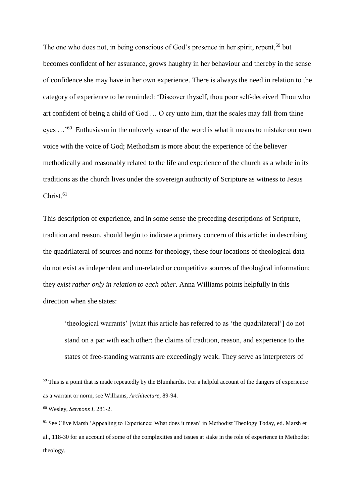The one who does not, in being conscious of God's presence in her spirit, repent,<sup>59</sup> but becomes confident of her assurance, grows haughty in her behaviour and thereby in the sense of confidence she may have in her own experience. There is always the need in relation to the category of experience to be reminded: 'Discover thyself, thou poor self-deceiver! Thou who art confident of being a child of God … O cry unto him, that the scales may fall from thine eyes ...<sup>'60</sup> Enthusiasm in the unlovely sense of the word is what it means to mistake our own voice with the voice of God; Methodism is more about the experience of the believer methodically and reasonably related to the life and experience of the church as a whole in its traditions as the church lives under the sovereign authority of Scripture as witness to Jesus  $Christ.<sup>61</sup>$ 

This description of experience, and in some sense the preceding descriptions of Scripture, tradition and reason, should begin to indicate a primary concern of this article: in describing the quadrilateral of sources and norms for theology, these four locations of theological data do not exist as independent and un-related or competitive sources of theological information; they *exist rather only in relation to each other*. Anna Williams points helpfully in this direction when she states:

'theological warrants' [what this article has referred to as 'the quadrilateral'] do not stand on a par with each other: the claims of tradition, reason, and experience to the states of free-standing warrants are exceedingly weak. They serve as interpreters of

<sup>&</sup>lt;sup>59</sup> This is a point that is made repeatedly by the Blumhardts. For a helpful account of the dangers of experience as a warrant or norm, see Williams, *Architecture*, 89-94.

<sup>60</sup> Wesley, *Sermons I*, 281-2.

<sup>&</sup>lt;sup>61</sup> See Clive Marsh 'Appealing to Experience: What does it mean' in Methodist Theology Today, ed. Marsh et al., 118-30 for an account of some of the complexities and issues at stake in the role of experience in Methodist theology.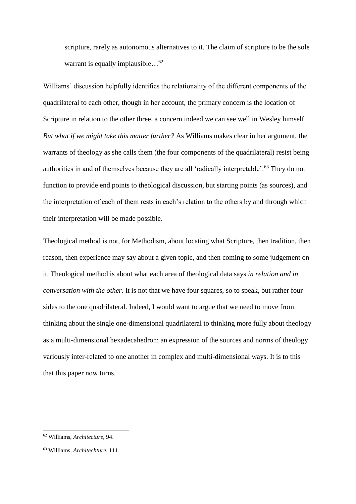scripture, rarely as autonomous alternatives to it. The claim of scripture to be the sole warrant is equally implausible... $^{62}$ 

Williams' discussion helpfully identifies the relationality of the different components of the quadrilateral to each other, though in her account, the primary concern is the location of Scripture in relation to the other three, a concern indeed we can see well in Wesley himself. *But what if we might take this matter further?* As Williams makes clear in her argument, the warrants of theology as she calls them (the four components of the quadrilateral) resist being authorities in and of themselves because they are all 'radically interpretable'.<sup>63</sup> They do not function to provide end points to theological discussion, but starting points (as sources), and the interpretation of each of them rests in each's relation to the others by and through which their interpretation will be made possible.

Theological method is not, for Methodism, about locating what Scripture, then tradition, then reason, then experience may say about a given topic, and then coming to some judgement on it. Theological method is about what each area of theological data says *in relation and in conversation with the other*. It is not that we have four squares, so to speak, but rather four sides to the one quadrilateral. Indeed, I would want to argue that we need to move from thinking about the single one-dimensional quadrilateral to thinking more fully about theology as a multi-dimensional hexadecahedron: an expression of the sources and norms of theology variously inter-related to one another in complex and multi-dimensional ways. It is to this that this paper now turns.

<sup>62</sup> Williams, *Architecture*, 94.

<sup>63</sup> Williams, *Architechture*, 111.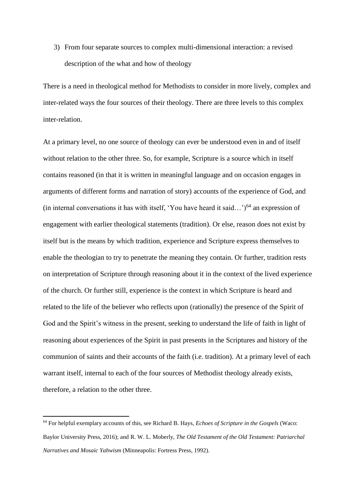3) From four separate sources to complex multi-dimensional interaction: a revised description of the what and how of theology

There is a need in theological method for Methodists to consider in more lively, complex and inter-related ways the four sources of their theology. There are three levels to this complex inter-relation.

At a primary level, no one source of theology can ever be understood even in and of itself without relation to the other three. So, for example, Scripture is a source which in itself contains reasoned (in that it is written in meaningful language and on occasion engages in arguments of different forms and narration of story) accounts of the experience of God, and (in internal conversations it has with itself, 'You have heard it said...')<sup>64</sup> an expression of engagement with earlier theological statements (tradition). Or else, reason does not exist by itself but is the means by which tradition, experience and Scripture express themselves to enable the theologian to try to penetrate the meaning they contain. Or further, tradition rests on interpretation of Scripture through reasoning about it in the context of the lived experience of the church. Or further still, experience is the context in which Scripture is heard and related to the life of the believer who reflects upon (rationally) the presence of the Spirit of God and the Spirit's witness in the present, seeking to understand the life of faith in light of reasoning about experiences of the Spirit in past presents in the Scriptures and history of the communion of saints and their accounts of the faith (i.e. tradition). At a primary level of each warrant itself, internal to each of the four sources of Methodist theology already exists, therefore, a relation to the other three.

<sup>64</sup> For helpful exemplary accounts of this, see Richard B. Hays, *Echoes of Scripture in the Gospels* (Waco: Baylor University Press, 2016); and R. W. L. Moberly, *The Old Testament of the Old Testament: Patriarchal Narratives and Mosaic Yahwism* (Minneapolis: Fortress Press, 1992).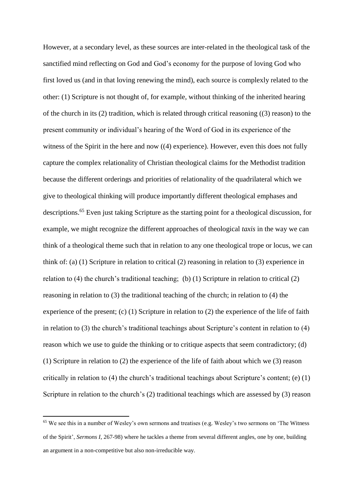However, at a secondary level, as these sources are inter-related in the theological task of the sanctified mind reflecting on God and God's economy for the purpose of loving God who first loved us (and in that loving renewing the mind), each source is complexly related to the other: (1) Scripture is not thought of, for example, without thinking of the inherited hearing of the church in its (2) tradition, which is related through critical reasoning ((3) reason) to the present community or individual's hearing of the Word of God in its experience of the witness of the Spirit in the here and now ((4) experience). However, even this does not fully capture the complex relationality of Christian theological claims for the Methodist tradition because the different orderings and priorities of relationality of the quadrilateral which we give to theological thinking will produce importantly different theological emphases and descriptions.<sup>65</sup> Even just taking Scripture as the starting point for a theological discussion, for example, we might recognize the different approaches of theological *taxis* in the way we can think of a theological theme such that in relation to any one theological trope or locus, we can think of: (a) (1) Scripture in relation to critical (2) reasoning in relation to (3) experience in relation to (4) the church's traditional teaching; (b) (1) Scripture in relation to critical (2) reasoning in relation to (3) the traditional teaching of the church; in relation to (4) the experience of the present; (c) (1) Scripture in relation to (2) the experience of the life of faith in relation to (3) the church's traditional teachings about Scripture's content in relation to (4) reason which we use to guide the thinking or to critique aspects that seem contradictory; (d) (1) Scripture in relation to (2) the experience of the life of faith about which we (3) reason critically in relation to (4) the church's traditional teachings about Scripture's content; (e) (1) Scripture in relation to the church's (2) traditional teachings which are assessed by (3) reason

<sup>65</sup> We see this in a number of Wesley's own sermons and treatises (e.g. Wesley's two sermons on 'The Witness of the Spirit', *Sermons I*, 267-98) where he tackles a theme from several different angles, one by one, building an argument in a non-competitive but also non-irreducible way.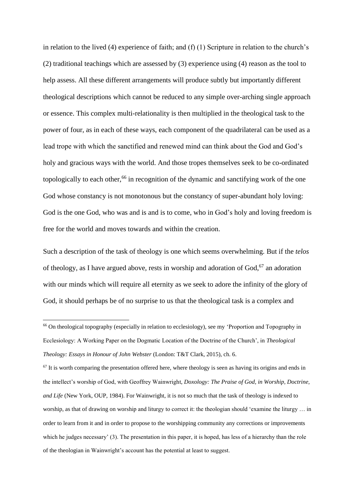in relation to the lived (4) experience of faith; and (f) (1) Scripture in relation to the church's (2) traditional teachings which are assessed by (3) experience using (4) reason as the tool to help assess. All these different arrangements will produce subtly but importantly different theological descriptions which cannot be reduced to any simple over-arching single approach or essence. This complex multi-relationality is then multiplied in the theological task to the power of four, as in each of these ways, each component of the quadrilateral can be used as a lead trope with which the sanctified and renewed mind can think about the God and God's holy and gracious ways with the world. And those tropes themselves seek to be co-ordinated topologically to each other,<sup>66</sup> in recognition of the dynamic and sanctifying work of the one God whose constancy is not monotonous but the constancy of super-abundant holy loving: God is the one God, who was and is and is to come, who in God's holy and loving freedom is free for the world and moves towards and within the creation.

Such a description of the task of theology is one which seems overwhelming. But if the *telos* of theology, as I have argued above, rests in worship and adoration of God, <sup>67</sup> an adoration with our minds which will require all eternity as we seek to adore the infinity of the glory of God, it should perhaps be of no surprise to us that the theological task is a complex and

**.** 

 $67$  It is worth comparing the presentation offered here, where theology is seen as having its origins and ends in the intellect's worship of God, with Geoffrey Wainwright, *Doxology: The Praise of God, in Worship, Doctrine, and Life* (New York, OUP, 1984). For Wainwright, it is not so much that the task of theology is indexed to worship, as that of drawing on worship and liturgy to correct it: the theologian should 'examine the liturgy ... in order to learn from it and in order to propose to the worshipping community any corrections or improvements which he judges necessary' (3). The presentation in this paper, it is hoped, has less of a hierarchy than the role of the theologian in Wainwright's account has the potential at least to suggest.

<sup>&</sup>lt;sup>66</sup> On theological topography (especially in relation to ecclesiology), see my 'Proportion and Topography in Ecclesiology: A Working Paper on the Dogmatic Location of the Doctrine of the Church', in *Theological Theology: Essays in Honour of John Webster* (London: T&T Clark, 2015), ch. 6.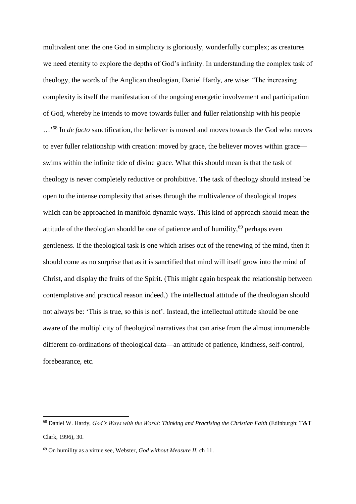multivalent one: the one God in simplicity is gloriously, wonderfully complex; as creatures we need eternity to explore the depths of God's infinity. In understanding the complex task of theology, the words of the Anglican theologian, Daniel Hardy, are wise: 'The increasing complexity is itself the manifestation of the ongoing energetic involvement and participation of God, whereby he intends to move towards fuller and fuller relationship with his people …'<sup>68</sup> In *de facto* sanctification, the believer is moved and moves towards the God who moves to ever fuller relationship with creation: moved by grace, the believer moves within grace swims within the infinite tide of divine grace. What this should mean is that the task of theology is never completely reductive or prohibitive. The task of theology should instead be open to the intense complexity that arises through the multivalence of theological tropes which can be approached in manifold dynamic ways. This kind of approach should mean the attitude of the theologian should be one of patience and of humility,<sup>69</sup> perhaps even gentleness. If the theological task is one which arises out of the renewing of the mind, then it should come as no surprise that as it is sanctified that mind will itself grow into the mind of Christ, and display the fruits of the Spirit. (This might again bespeak the relationship between contemplative and practical reason indeed.) The intellectual attitude of the theologian should not always be: 'This is true, so this is not'. Instead, the intellectual attitude should be one aware of the multiplicity of theological narratives that can arise from the almost innumerable different co-ordinations of theological data—an attitude of patience, kindness, self-control, forebearance, etc.

<sup>68</sup> Daniel W. Hardy, *God's Ways with the World: Thinking and Practising the Christian Faith* (Edinburgh: T&T Clark, 1996), 30.

<sup>69</sup> On humility as a virtue see, Webster, *God without Measure II*, ch 11.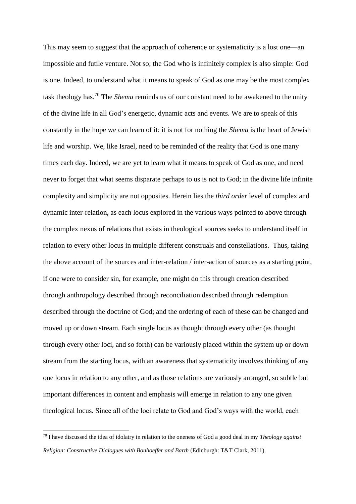This may seem to suggest that the approach of coherence or systematicity is a lost one—an impossible and futile venture. Not so; the God who is infinitely complex is also simple: God is one. Indeed, to understand what it means to speak of God as one may be the most complex task theology has.<sup>70</sup> The *Shema* reminds us of our constant need to be awakened to the unity of the divine life in all God's energetic, dynamic acts and events. We are to speak of this constantly in the hope we can learn of it: it is not for nothing the *Shema* is the heart of Jewish life and worship. We, like Israel, need to be reminded of the reality that God is one many times each day. Indeed, we are yet to learn what it means to speak of God as one, and need never to forget that what seems disparate perhaps to us is not to God; in the divine life infinite complexity and simplicity are not opposites. Herein lies the *third order* level of complex and dynamic inter-relation, as each locus explored in the various ways pointed to above through the complex nexus of relations that exists in theological sources seeks to understand itself in relation to every other locus in multiple different construals and constellations. Thus, taking the above account of the sources and inter-relation / inter-action of sources as a starting point, if one were to consider sin, for example, one might do this through creation described through anthropology described through reconciliation described through redemption described through the doctrine of God; and the ordering of each of these can be changed and moved up or down stream. Each single locus as thought through every other (as thought through every other loci, and so forth) can be variously placed within the system up or down stream from the starting locus, with an awareness that systematicity involves thinking of any one locus in relation to any other, and as those relations are variously arranged, so subtle but important differences in content and emphasis will emerge in relation to any one given theological locus. Since all of the loci relate to God and God's ways with the world, each

<sup>70</sup> I have discussed the idea of idolatry in relation to the oneness of God a good deal in my *Theology against Religion: Constructive Dialogues with Bonhoeffer and Barth* (Edinburgh: T&T Clark, 2011).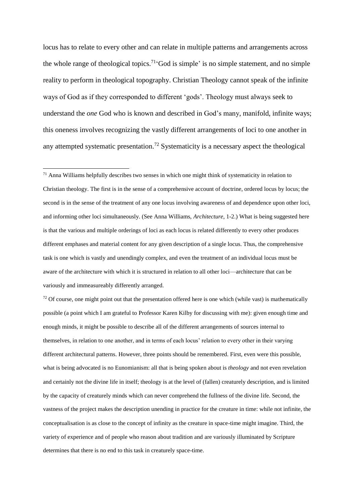locus has to relate to every other and can relate in multiple patterns and arrangements across the whole range of theological topics.<sup>71</sup> God is simple' is no simple statement, and no simple reality to perform in theological topography. Christian Theology cannot speak of the infinite ways of God as if they corresponded to different 'gods'. Theology must always seek to understand the *one* God who is known and described in God's many, manifold, infinite ways; this oneness involves recognizing the vastly different arrangements of loci to one another in any attempted systematic presentation.<sup>72</sup> Systematicity is a necessary aspect the theological

**.** 

 $72$  Of course, one might point out that the presentation offered here is one which (while vast) is mathematically possible (a point which I am grateful to Professor Karen Kilby for discussing with me): given enough time and enough minds, it might be possible to describe all of the different arrangements of sources internal to themselves, in relation to one another, and in terms of each locus' relation to every other in their varying different architectural patterns. However, three points should be remembered. First, even were this possible, what is being advocated is no Eunomianism: all that is being spoken about is *theology* and not even revelation and certainly not the divine life in itself; theology is at the level of (fallen) creaturely description, and is limited by the capacity of creaturely minds which can never comprehend the fullness of the divine life. Second, the vastness of the project makes the description unending in practice for the creature in time: while not infinite, the conceptualisation is as close to the concept of infinity as the creature in space-time might imagine. Third, the variety of experience and of people who reason about tradition and are variously illuminated by Scripture determines that there is no end to this task in creaturely space-time.

 $71$  Anna Williams helpfully describes two senses in which one might think of systematicity in relation to Christian theology. The first is in the sense of a comprehensive account of doctrine, ordered locus by locus; the second is in the sense of the treatment of any one locus involving awareness of and dependence upon other loci, and informing other loci simultaneously. (See Anna Williams, *Architecture*, 1-2.) What is being suggested here is that the various and multiple orderings of loci as each locus is related differently to every other produces different emphases and material content for any given description of a single locus. Thus, the comprehensive task is one which is vastly and unendingly complex, and even the treatment of an individual locus must be aware of the architecture with which it is structured in relation to all other loci—architecture that can be variously and immeasureably differently arranged.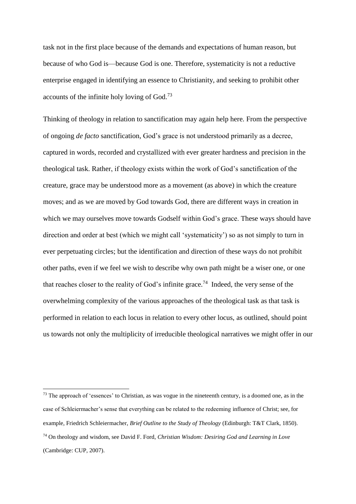task not in the first place because of the demands and expectations of human reason, but because of who God is—because God is one. Therefore, systematicity is not a reductive enterprise engaged in identifying an essence to Christianity, and seeking to prohibit other accounts of the infinite holy loving of God.<sup>73</sup>

Thinking of theology in relation to sanctification may again help here. From the perspective of ongoing *de facto* sanctification, God's grace is not understood primarily as a decree, captured in words, recorded and crystallized with ever greater hardness and precision in the theological task. Rather, if theology exists within the work of God's sanctification of the creature, grace may be understood more as a movement (as above) in which the creature moves; and as we are moved by God towards God, there are different ways in creation in which we may ourselves move towards Godself within God's grace. These ways should have direction and order at best (which we might call 'systematicity') so as not simply to turn in ever perpetuating circles; but the identification and direction of these ways do not prohibit other paths, even if we feel we wish to describe why own path might be a wiser one, or one that reaches closer to the reality of God's infinite grace.<sup>74</sup> Indeed, the very sense of the overwhelming complexity of the various approaches of the theological task as that task is performed in relation to each locus in relation to every other locus, as outlined, should point us towards not only the multiplicity of irreducible theological narratives we might offer in our

<sup>&</sup>lt;sup>73</sup> The approach of 'essences' to Christian, as was vogue in the nineteenth century, is a doomed one, as in the case of Schleiermacher's sense that everything can be related to the redeeming influence of Christ; see, for example, Friedrich Schleiermacher, *Brief Outline to the Study of Theology* (Edinburgh: T&T Clark, 1850). <sup>74</sup> On theology and wisdom, see David F. Ford, *Christian Wisdom: Desiring God and Learning in Love* (Cambridge: CUP, 2007).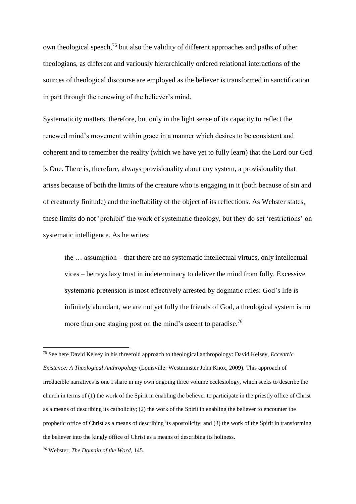own theological speech,<sup>75</sup> but also the validity of different approaches and paths of other theologians, as different and variously hierarchically ordered relational interactions of the sources of theological discourse are employed as the believer is transformed in sanctification in part through the renewing of the believer's mind.

Systematicity matters, therefore, but only in the light sense of its capacity to reflect the renewed mind's movement within grace in a manner which desires to be consistent and coherent and to remember the reality (which we have yet to fully learn) that the Lord our God is One. There is, therefore, always provisionality about any system, a provisionality that arises because of both the limits of the creature who is engaging in it (both because of sin and of creaturely finitude) and the ineffability of the object of its reflections. As Webster states, these limits do not 'prohibit' the work of systematic theology, but they do set 'restrictions' on systematic intelligence. As he writes:

the … assumption – that there are no systematic intellectual virtues, only intellectual vices – betrays lazy trust in indeterminacy to deliver the mind from folly. Excessive systematic pretension is most effectively arrested by dogmatic rules: God's life is infinitely abundant, we are not yet fully the friends of God, a theological system is no more than one staging post on the mind's ascent to paradise.<sup>76</sup>

<sup>75</sup> See here David Kelsey in his threefold approach to theological anthropology: David Kelsey, *Eccentric Existence: A Theological Anthropology* (Louisville: Westminster John Knox, 2009). This approach of irreducible narratives is one I share in my own ongoing three volume ecclesiology, which seeks to describe the church in terms of (1) the work of the Spirit in enabling the believer to participate in the priestly office of Christ as a means of describing its catholicity; (2) the work of the Spirit in enabling the believer to encounter the prophetic office of Christ as a means of describing its apostolicity; and (3) the work of the Spirit in transforming the believer into the kingly office of Christ as a means of describing its holiness.

<sup>76</sup> Webster, *The Domain of the Word*, 145.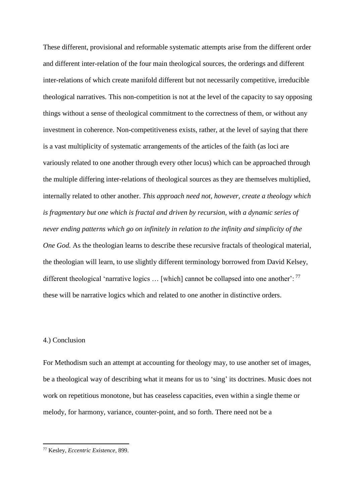These different, provisional and reformable systematic attempts arise from the different order and different inter-relation of the four main theological sources, the orderings and different inter-relations of which create manifold different but not necessarily competitive, irreducible theological narratives. This non-competition is not at the level of the capacity to say opposing things without a sense of theological commitment to the correctness of them, or without any investment in coherence. Non-competitiveness exists, rather, at the level of saying that there is a vast multiplicity of systematic arrangements of the articles of the faith (as loci are variously related to one another through every other locus) which can be approached through the multiple differing inter-relations of theological sources as they are themselves multiplied, internally related to other another. *This approach need not, however, create a theology which is fragmentary but one which is fractal and driven by recursion, with a dynamic series of never ending patterns which go on infinitely in relation to the infinity and simplicity of the One God.* As the theologian learns to describe these recursive fractals of theological material, the theologian will learn, to use slightly different terminology borrowed from David Kelsey, different theological 'narrative logics  $\ldots$  [which] cannot be collapsed into one another':  $^{77}$ these will be narrative logics which and related to one another in distinctive orders.

# 4.) Conclusion

**.** 

For Methodism such an attempt at accounting for theology may, to use another set of images, be a theological way of describing what it means for us to 'sing' its doctrines. Music does not work on repetitious monotone, but has ceaseless capacities, even within a single theme or melody, for harmony, variance, counter-point, and so forth. There need not be a

<sup>77</sup> Kesley, *Eccentric Existence*, 899.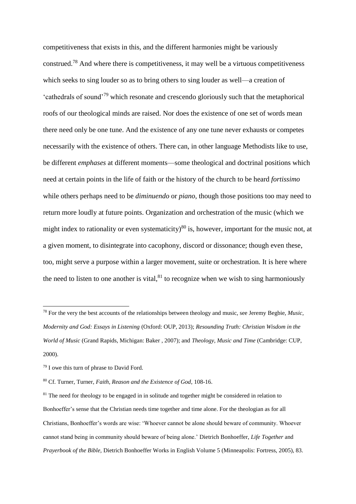competitiveness that exists in this, and the different harmonies might be variously construed.<sup>78</sup> And where there is competitiveness, it may well be a virtuous competitiveness which seeks to sing louder so as to bring others to sing louder as well—a creation of 'cathedrals of sound'<sup>79</sup> which resonate and crescendo gloriously such that the metaphorical roofs of our theological minds are raised. Nor does the existence of one set of words mean there need only be one tune. And the existence of any one tune never exhausts or competes necessarily with the existence of others. There can, in other language Methodists like to use, be different *emphases* at different moments—some theological and doctrinal positions which need at certain points in the life of faith or the history of the church to be heard *fortissimo* while others perhaps need to be *diminuendo* or *piano*, though those positions too may need to return more loudly at future points. Organization and orchestration of the music (which we might index to rationality or even systematicity)<sup>80</sup> is, however, important for the music not, at a given moment, to disintegrate into cacophony, discord or dissonance; though even these, too, might serve a purpose within a larger movement, suite or orchestration. It is here where the need to listen to one another is vital, $81$  to recognize when we wish to sing harmoniously

 $\overline{a}$ 

<sup>78</sup> For the very the best accounts of the relationships between theology and music, see Jeremy Begbie, *Music, Modernity and God: Essays in Listening* (Oxford: OUP, 2013); *Resounding Truth: Christian Wisdom in the World of Music* (Grand Rapids, Michigan: Baker , 2007); and *Theology, Music and Time* (Cambridge: CUP, 2000).

 $79$  I owe this turn of phrase to David Ford.

<sup>80</sup> Cf. Turner, Turner, *Faith, Reason and the Existence of God*, 108-16.

 $81$  The need for theology to be engaged in in solitude and together might be considered in relation to Bonhoeffer's sense that the Christian needs time together and time alone. For the theologian as for all Christians, Bonhoeffer's words are wise: 'Whoever cannot be alone should beware of community. Whoever cannot stand being in community should beware of being alone.' Dietrich Bonhoeffer, *Life Together* and *Prayerbook of the Bible,* Dietrich Bonhoeffer Works in English Volume 5 (Minneapolis: Fortress, 2005), 83.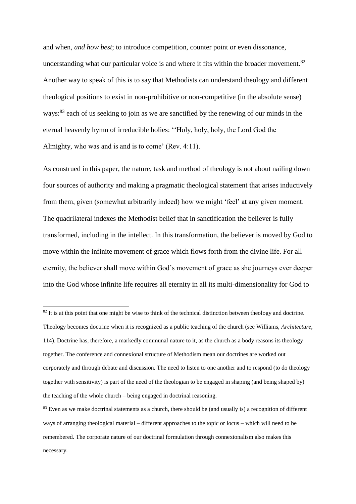and when, *and how best*; to introduce competition, counter point or even dissonance, understanding what our particular voice is and where it fits within the broader movement.<sup>82</sup> Another way to speak of this is to say that Methodists can understand theology and different theological positions to exist in non-prohibitive or non-competitive (in the absolute sense) ways:<sup>83</sup> each of us seeking to join as we are sanctified by the renewing of our minds in the eternal heavenly hymn of irreducible holies: ''Holy, holy, holy, the Lord God the Almighty, who was and is and is to come' (Rev. 4:11).

As construed in this paper, the nature, task and method of theology is not about nailing down four sources of authority and making a pragmatic theological statement that arises inductively from them, given (somewhat arbitrarily indeed) how we might 'feel' at any given moment. The quadrilateral indexes the Methodist belief that in sanctification the believer is fully transformed, including in the intellect. In this transformation, the believer is moved by God to move within the infinite movement of grace which flows forth from the divine life. For all eternity, the believer shall move within God's movement of grace as she journeys ever deeper into the God whose infinite life requires all eternity in all its multi-dimensionality for God to

 $\overline{a}$ 

 $82$  It is at this point that one might be wise to think of the technical distinction between theology and doctrine. Theology becomes doctrine when it is recognized as a public teaching of the church (see Williams, *Architecture*, 114). Doctrine has, therefore, a markedly communal nature to it, as the church as a body reasons its theology together. The conference and connexional structure of Methodism mean our doctrines are worked out corporately and through debate and discussion. The need to listen to one another and to respond (to do theology together with sensitivity) is part of the need of the theologian to be engaged in shaping (and being shaped by) the teaching of the whole church – being engaged in doctrinal reasoning.

 $83$  Even as we make doctrinal statements as a church, there should be (and usually is) a recognition of different ways of arranging theological material – different approaches to the topic or locus – which will need to be remembered. The corporate nature of our doctrinal formulation through connexionalism also makes this necessary.